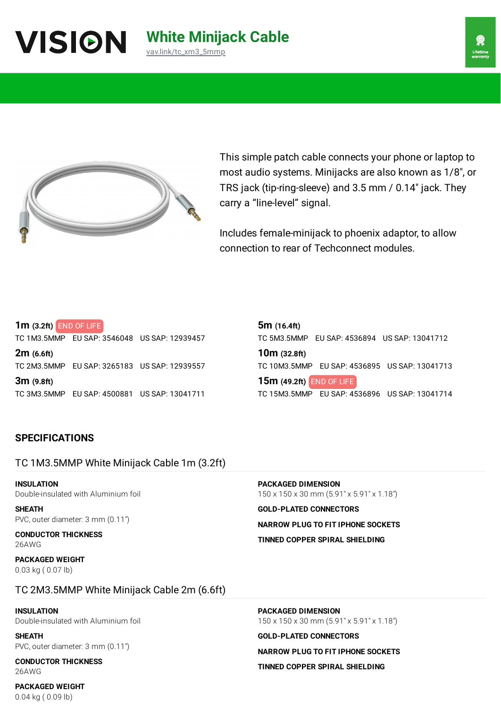## **White Minijack Cable** [vav.link/tc\\_xm3\\_5mmp](https://vav.link/tc_xm3_5mmp)



This simple patch cable connects your phone or laptop to most audio systems. Minijacks are also known as 1/8″, or TRS jack (tip-ring-sleeve) and 3.5 mm / 0.14″ jack. They carry a "line-level" signal.

Includes female-minijack to phoenix adaptor, to allow connection to rear of Techconnect modules.

#### **1m (3.2ft)** END OF LIFE

TC 1M3.5MMP EU SAP: 3546048 US SAP: 12939457

**2m (6.6ft)** TC 2M3.5MMP EU SAP: 3265183 US SAP: 12939557 **3m (9.8ft)**

TC 3M3.5MMP EU SAP: 4500881 US SAP: 13041711

**5m (16.4ft)** TC 5M3.5MMP EU SAP: 4536894 US SAP: 13041712

**10m (32.8ft)** TC 10M3.5MMP EU SAP: 4536895 US SAP: 13041713

**15m (49.2ft)** END OF LIFETC 15M3.5MMP EU SAP: 4536896 US SAP: 13041714

### **SPECIFICATIONS**

## TC 1M3.5MMP White Minijack Cable 1m (3.2ft)

**INSULATION** Double-insulated with Aluminium foil

**SHEATH** PVC, outer diameter: 3 mm (0.11″)

**CONDUCTOR THICKNESS** 26AWG

**PACKAGED WEIGHT** 0.03 kg ( 0.07 lb)

**PACKAGED DIMENSION** 150 x 150 x 30 mm (5.91" x 5.91" x 1.18")

**GOLD-PLATED CONNECTORS NARROW PLUG TO FIT IPHONE SOCKETS**

**TINNED COPPER SPIRAL SHIELDING**

## TC 2M3.5MMP White Minijack Cable 2m (6.6ft)

# **INSULATION**

Double-insulated with Aluminium foil

**SHEATH** PVC, outer diameter: 3 mm (0.11″)

**CONDUCTOR THICKNESS** 26AWG

**PACKAGED WEIGHT** 0.04 kg ( 0.09 lb)

**PACKAGED DIMENSION** 150 x 150 x 30 mm (5.91" x 5.91" x 1.18")

**GOLD-PLATED CONNECTORS**

**NARROW PLUG TO FIT IPHONE SOCKETS TINNED COPPER SPIRAL SHIELDING**